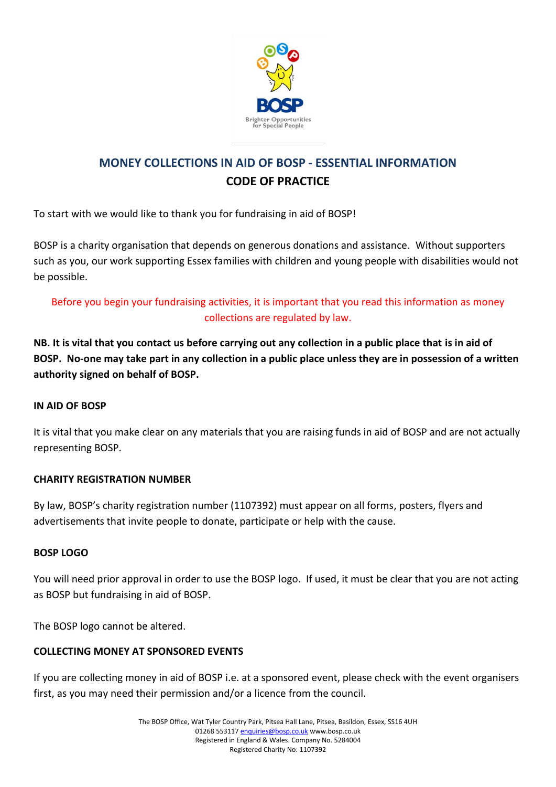

# **MONEY COLLECTIONS IN AID OF BOSP - ESSENTIAL INFORMATION CODE OF PRACTICE**

To start with we would like to thank you for fundraising in aid of BOSP!

BOSP is a charity organisation that depends on generous donations and assistance. Without supporters such as you, our work supporting Essex families with children and young people with disabilities would not be possible.

# Before you begin your fundraising activities, it is important that you read this information as money collections are regulated by law.

**NB. It is vital that you contact us before carrying out any collection in a public place that is in aid of BOSP. No-one may take part in any collection in a public place unless they are in possession of a written authority signed on behalf of BOSP.**

## **IN AID OF BOSP**

It is vital that you make clear on any materials that you are raising funds in aid of BOSP and are not actually representing BOSP.

## **CHARITY REGISTRATION NUMBER**

By law, BOSP's charity registration number (1107392) must appear on all forms, posters, flyers and advertisements that invite people to donate, participate or help with the cause.

## **BOSP LOGO**

You will need prior approval in order to use the BOSP logo. If used, it must be clear that you are not acting as BOSP but fundraising in aid of BOSP.

The BOSP logo cannot be altered.

## **COLLECTING MONEY AT SPONSORED EVENTS**

If you are collecting money in aid of BOSP i.e. at a sponsored event, please check with the event organisers first, as you may need their permission and/or a licence from the council.